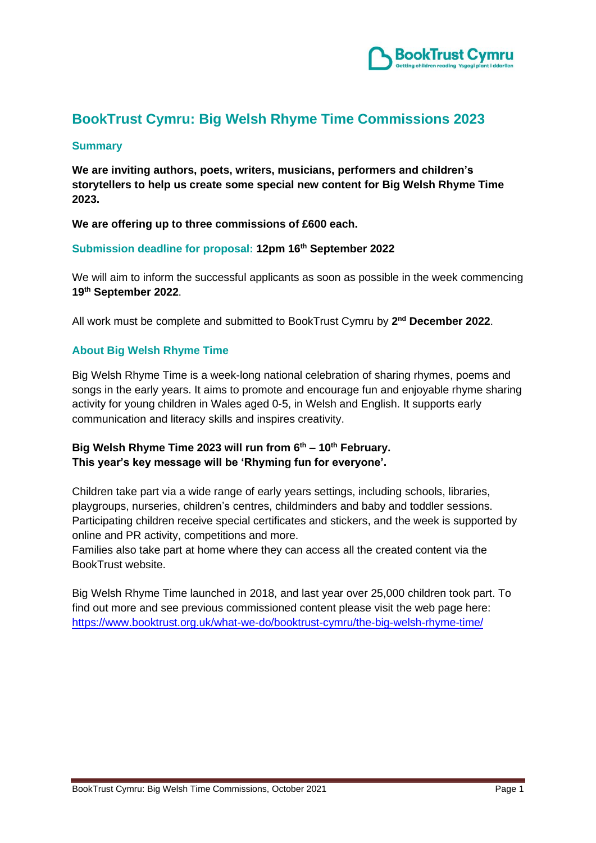

# **BookTrust Cymru: Big Welsh Rhyme Time Commissions 2023**

#### **Summary**

**We are inviting authors, poets, writers, musicians, performers and children's storytellers to help us create some special new content for Big Welsh Rhyme Time 2023.**

**We are offering up to three commissions of £600 each.**

#### **Submission deadline for proposal: 12pm 16th September 2022**

We will aim to inform the successful applicants as soon as possible in the week commencing **19 th September 2022**.

All work must be complete and submitted to BookTrust Cymru by **2 nd December 2022**.

# **About Big Welsh Rhyme Time**

Big Welsh Rhyme Time is a week-long national celebration of sharing rhymes, poems and songs in the early years. It aims to promote and encourage fun and enjoyable rhyme sharing activity for young children in Wales aged 0-5, in Welsh and English. It supports early communication and literacy skills and inspires creativity.

# **Big Welsh Rhyme Time 2023 will run from 6 th – 10 th February. This year's key message will be 'Rhyming fun for everyone'.**

Children take part via a wide range of early years settings, including schools, libraries, playgroups, nurseries, children's centres, childminders and baby and toddler sessions. Participating children receive special certificates and stickers, and the week is supported by online and PR activity, competitions and more.

Families also take part at home where they can access all the created content via the BookTrust website.

Big Welsh Rhyme Time launched in 2018, and last year over 25,000 children took part. To find out more and see previous commissioned content please visit the web page here: <https://www.booktrust.org.uk/what-we-do/booktrust-cymru/the-big-welsh-rhyme-time/>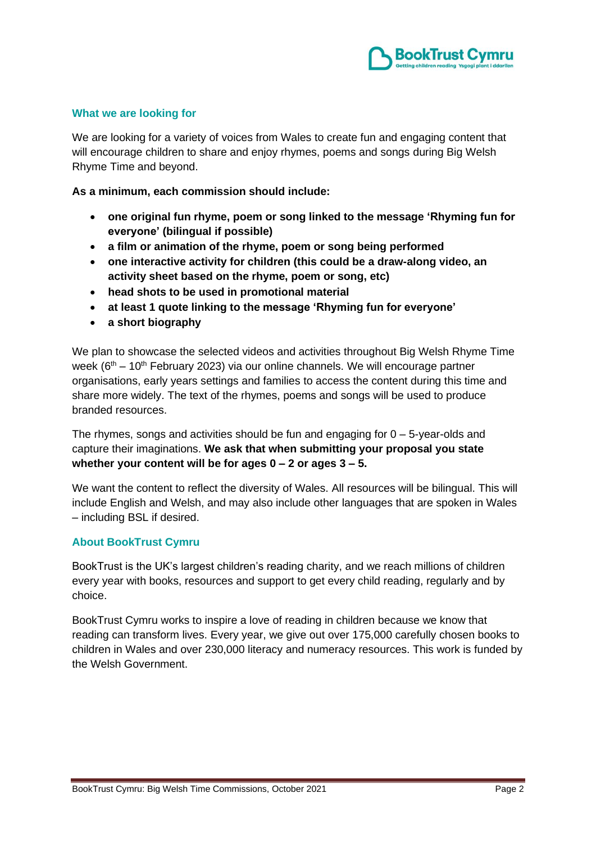

## **What we are looking for**

We are looking for a variety of voices from Wales to create fun and engaging content that will encourage children to share and enjoy rhymes, poems and songs during Big Welsh Rhyme Time and beyond.

**As a minimum, each commission should include:**

- **one original fun rhyme, poem or song linked to the message 'Rhyming fun for everyone' (bilingual if possible)**
- **a film or animation of the rhyme, poem or song being performed**
- **one interactive activity for children (this could be a draw-along video, an activity sheet based on the rhyme, poem or song, etc)**
- **head shots to be used in promotional material**
- **at least 1 quote linking to the message 'Rhyming fun for everyone'**
- **a short biography**

We plan to showcase the selected videos and activities throughout Big Welsh Rhyme Time week (6<sup>th</sup> – 10<sup>th</sup> February 2023) via our online channels. We will encourage partner organisations, early years settings and families to access the content during this time and share more widely. The text of the rhymes, poems and songs will be used to produce branded resources.

The rhymes, songs and activities should be fun and engaging for  $0 - 5$ -year-olds and capture their imaginations. **We ask that when submitting your proposal you state whether your content will be for ages 0 – 2 or ages 3 – 5.**

We want the content to reflect the diversity of Wales. All resources will be bilingual. This will include English and Welsh, and may also include other languages that are spoken in Wales – including BSL if desired.

#### **About BookTrust Cymru**

BookTrust is the UK's largest children's reading charity, and we reach millions of children every year with books, resources and support to get every child reading, regularly and by choice.

BookTrust Cymru works to inspire a love of reading in children because we know that reading can transform lives. Every year, we give out over 175,000 carefully chosen books to children in Wales and over 230,000 literacy and numeracy resources. This work is funded by the Welsh Government.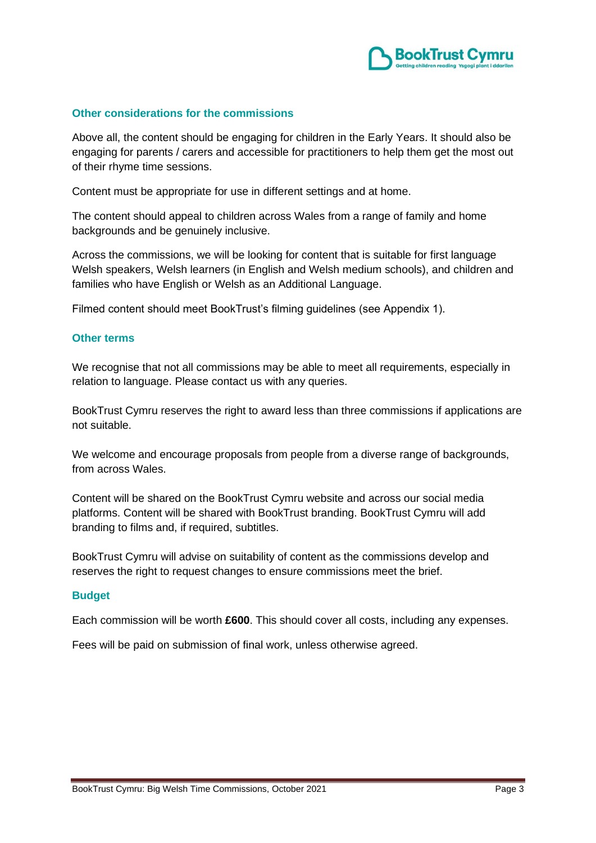

## **Other considerations for the commissions**

Above all, the content should be engaging for children in the Early Years. It should also be engaging for parents / carers and accessible for practitioners to help them get the most out of their rhyme time sessions.

Content must be appropriate for use in different settings and at home.

The content should appeal to children across Wales from a range of family and home backgrounds and be genuinely inclusive.

Across the commissions, we will be looking for content that is suitable for first language Welsh speakers, Welsh learners (in English and Welsh medium schools), and children and families who have English or Welsh as an Additional Language.

Filmed content should meet BookTrust's filming guidelines (see Appendix 1).

#### **Other terms**

We recognise that not all commissions may be able to meet all requirements, especially in relation to language. Please contact us with any queries.

BookTrust Cymru reserves the right to award less than three commissions if applications are not suitable.

We welcome and encourage proposals from people from a diverse range of backgrounds, from across Wales.

Content will be shared on the BookTrust Cymru website and across our social media platforms. Content will be shared with BookTrust branding. BookTrust Cymru will add branding to films and, if required, subtitles.

BookTrust Cymru will advise on suitability of content as the commissions develop and reserves the right to request changes to ensure commissions meet the brief.

#### **Budget**

Each commission will be worth **£600**. This should cover all costs, including any expenses.

Fees will be paid on submission of final work, unless otherwise agreed.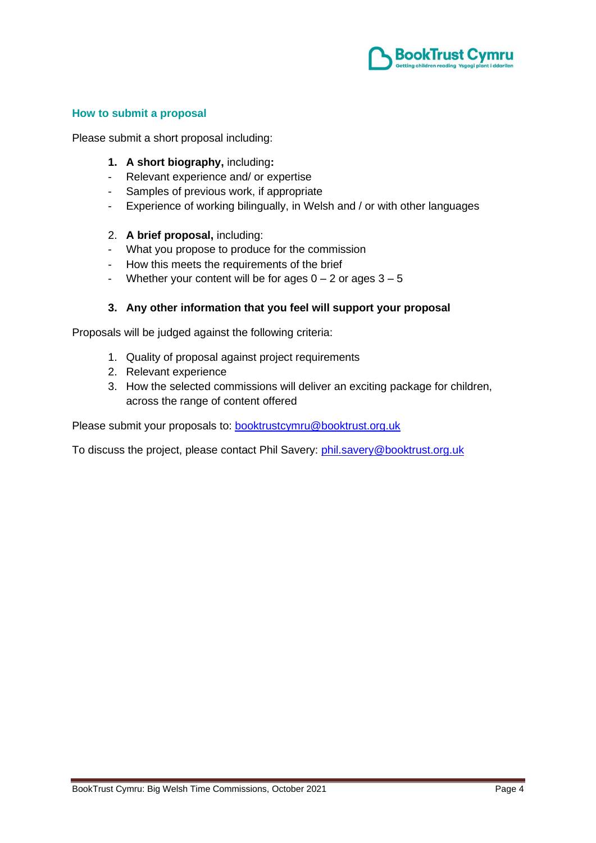

## **How to submit a proposal**

Please submit a short proposal including:

- **1. A short biography,** including**:**
- Relevant experience and/ or expertise
- Samples of previous work, if appropriate
- Experience of working bilingually, in Welsh and / or with other languages

#### 2. **A brief proposal,** including:

- What you propose to produce for the commission
- How this meets the requirements of the brief
- Whether your content will be for ages  $0 2$  or ages  $3 5$

#### **3. Any other information that you feel will support your proposal**

Proposals will be judged against the following criteria:

- 1. Quality of proposal against project requirements
- 2. Relevant experience
- 3. How the selected commissions will deliver an exciting package for children, across the range of content offered

Please submit your proposals to: **[booktrustcymru@booktrust.org.uk](mailto:booktrustcymru@booktrust.org.uk)** 

To discuss the project, please contact Phil Savery: [phil.savery@booktrust.org.uk](mailto:phil.savery@booktrust.org.uk)